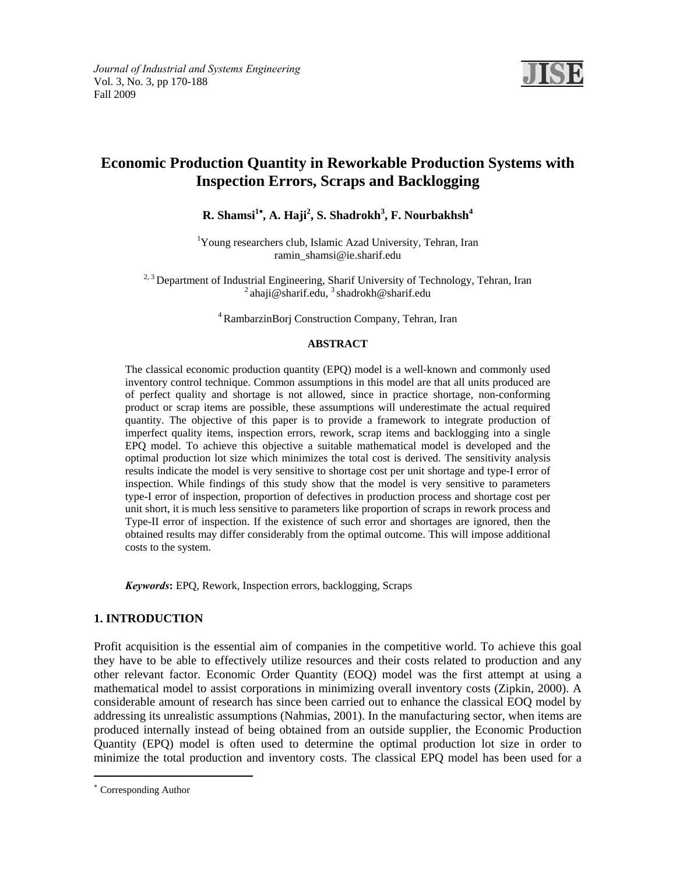

# **Economic Production Quantity in Reworkable Production Systems with Inspection Errors, Scraps and Backlogging**

**R. Shamsi<sup>1</sup>**<sup>∗</sup> **, A. Haji2 , S. Shadrokh<sup>3</sup> , F. Nourbakhsh<sup>4</sup>**

<sup>1</sup>Young researchers club, Islamic Azad University, Tehran, Iran ramin\_shamsi@ie.sharif.edu

<sup>2, 3</sup> Department of Industrial Engineering, Sharif University of Technology, Tehran, Iran <sup>2</sup> ahaji@sharif.edu, <sup>3</sup> shadrokh@sharif.edu

4 RambarzinBorj Construction Company, Tehran, Iran

#### **ABSTRACT**

The classical economic production quantity (EPQ) model is a well-known and commonly used inventory control technique. Common assumptions in this model are that all units produced are of perfect quality and shortage is not allowed, since in practice shortage, non-conforming product or scrap items are possible, these assumptions will underestimate the actual required quantity. The objective of this paper is to provide a framework to integrate production of imperfect quality items, inspection errors, rework, scrap items and backlogging into a single EPQ model. To achieve this objective a suitable mathematical model is developed and the optimal production lot size which minimizes the total cost is derived. The sensitivity analysis results indicate the model is very sensitive to shortage cost per unit shortage and type-I error of inspection. While findings of this study show that the model is very sensitive to parameters type-I error of inspection, proportion of defectives in production process and shortage cost per unit short, it is much less sensitive to parameters like proportion of scraps in rework process and Type-II error of inspection. If the existence of such error and shortages are ignored, then the obtained results may differ considerably from the optimal outcome. This will impose additional costs to the system.

*Keywords***:** EPQ, Rework, Inspection errors, backlogging, Scraps

## **1. INTRODUCTION**

Profit acquisition is the essential aim of companies in the competitive world. To achieve this goal they have to be able to effectively utilize resources and their costs related to production and any other relevant factor. Economic Order Quantity (EOQ) model was the first attempt at using a mathematical model to assist corporations in minimizing overall inventory costs (Zipkin, 2000). A considerable amount of research has since been carried out to enhance the classical EOQ model by addressing its unrealistic assumptions (Nahmias, 2001). In the manufacturing sector, when items are produced internally instead of being obtained from an outside supplier, the Economic Production Quantity (EPQ) model is often used to determine the optimal production lot size in order to minimize the total production and inventory costs. The classical EPQ model has been used for a

<u>.</u>

<sup>∗</sup> Corresponding Author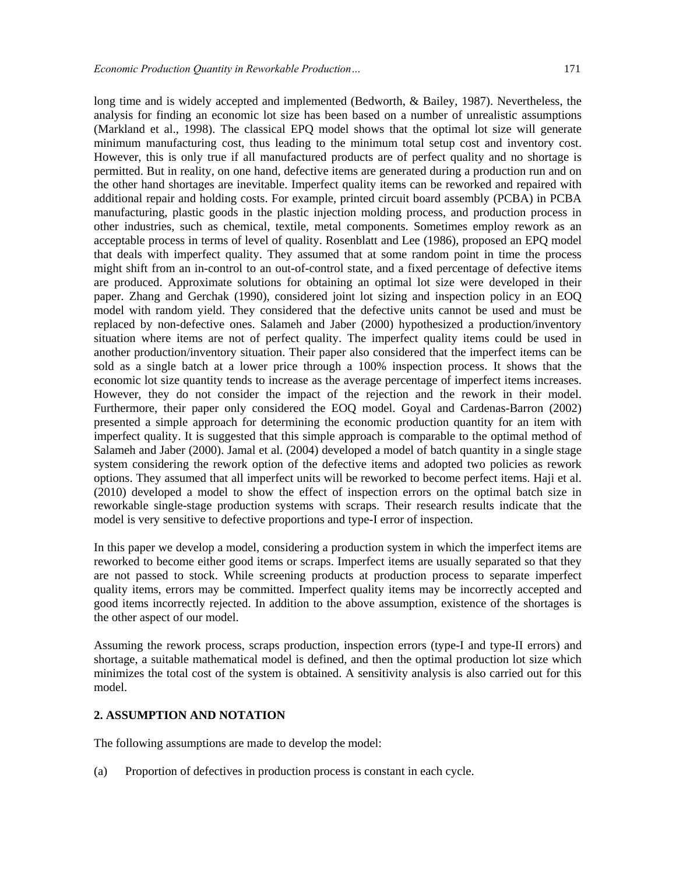long time and is widely accepted and implemented (Bedworth, & Bailey, 1987). Nevertheless, the analysis for finding an economic lot size has been based on a number of unrealistic assumptions (Markland et al., 1998). The classical EPQ model shows that the optimal lot size will generate minimum manufacturing cost, thus leading to the minimum total setup cost and inventory cost. However, this is only true if all manufactured products are of perfect quality and no shortage is permitted. But in reality, on one hand, defective items are generated during a production run and on the other hand shortages are inevitable. Imperfect quality items can be reworked and repaired with additional repair and holding costs. For example, printed circuit board assembly (PCBA) in PCBA manufacturing, plastic goods in the plastic injection molding process, and production process in other industries, such as chemical, textile, metal components. Sometimes employ rework as an acceptable process in terms of level of quality. Rosenblatt and Lee (1986), proposed an EPQ model that deals with imperfect quality. They assumed that at some random point in time the process might shift from an in-control to an out-of-control state, and a fixed percentage of defective items are produced. Approximate solutions for obtaining an optimal lot size were developed in their paper. Zhang and Gerchak (1990), considered joint lot sizing and inspection policy in an EOQ model with random yield. They considered that the defective units cannot be used and must be replaced by non-defective ones. Salameh and Jaber (2000) hypothesized a production/inventory situation where items are not of perfect quality. The imperfect quality items could be used in another production/inventory situation. Their paper also considered that the imperfect items can be sold as a single batch at a lower price through a 100% inspection process. It shows that the economic lot size quantity tends to increase as the average percentage of imperfect items increases. However, they do not consider the impact of the rejection and the rework in their model. Furthermore, their paper only considered the EOQ model. Goyal and Cardenas-Barron (2002) presented a simple approach for determining the economic production quantity for an item with imperfect quality. It is suggested that this simple approach is comparable to the optimal method of Salameh and Jaber (2000). Jamal et al. (2004) developed a model of batch quantity in a single stage system considering the rework option of the defective items and adopted two policies as rework options. They assumed that all imperfect units will be reworked to become perfect items. Haji et al. (2010) developed a model to show the effect of inspection errors on the optimal batch size in reworkable single-stage production systems with scraps. Their research results indicate that the model is very sensitive to defective proportions and type-I error of inspection.

In this paper we develop a model, considering a production system in which the imperfect items are reworked to become either good items or scraps. Imperfect items are usually separated so that they are not passed to stock. While screening products at production process to separate imperfect quality items, errors may be committed. Imperfect quality items may be incorrectly accepted and good items incorrectly rejected. In addition to the above assumption, existence of the shortages is the other aspect of our model.

Assuming the rework process, scraps production, inspection errors (type-I and type-II errors) and shortage, a suitable mathematical model is defined, and then the optimal production lot size which minimizes the total cost of the system is obtained. A sensitivity analysis is also carried out for this model.

#### **2. ASSUMPTION AND NOTATION**

The following assumptions are made to develop the model:

(a) Proportion of defectives in production process is constant in each cycle.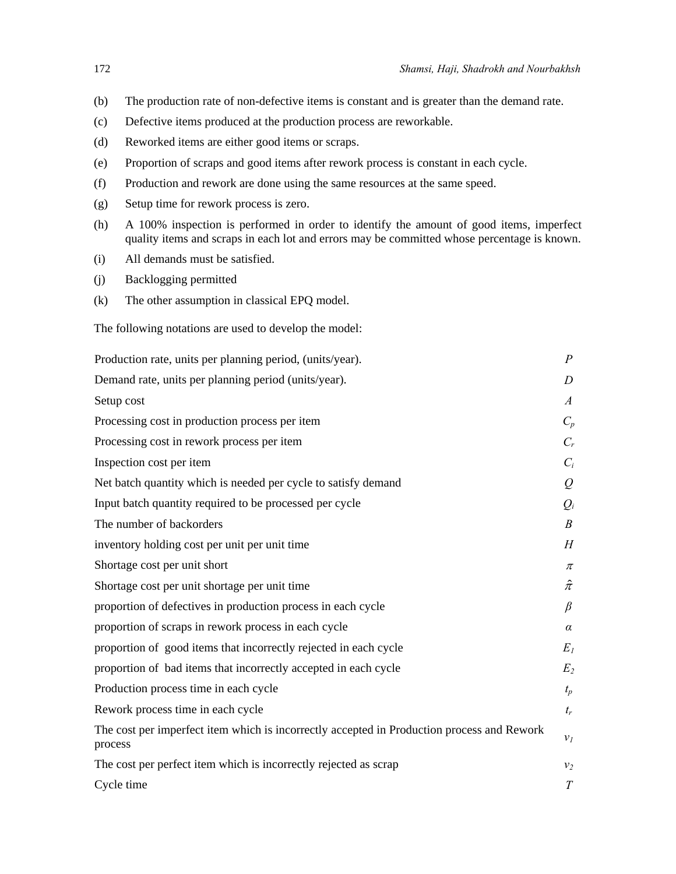- (b) The production rate of non-defective items is constant and is greater than the demand rate.
- (c) Defective items produced at the production process are reworkable.
- (d) Reworked items are either good items or scraps.
- (e) Proportion of scraps and good items after rework process is constant in each cycle.
- (f) Production and rework are done using the same resources at the same speed.
- (g) Setup time for rework process is zero.
- (h) A 100% inspection is performed in order to identify the amount of good items, imperfect quality items and scraps in each lot and errors may be committed whose percentage is known.
- (i) All demands must be satisfied.
- (j) Backlogging permitted
- (k) The other assumption in classical EPQ model.

The following notations are used to develop the model:

| Production rate, units per planning period, (units/year).                                             | $\overline{P}$   |
|-------------------------------------------------------------------------------------------------------|------------------|
| Demand rate, units per planning period (units/year).                                                  | D                |
| Setup cost                                                                                            | $\boldsymbol{A}$ |
| Processing cost in production process per item                                                        | $C_p$            |
| Processing cost in rework process per item                                                            | $C_r$            |
| Inspection cost per item                                                                              | $C_i$            |
| Net batch quantity which is needed per cycle to satisfy demand                                        | $\mathcal{Q}$    |
| Input batch quantity required to be processed per cycle                                               | $Q_i$            |
| The number of backorders                                                                              | $\boldsymbol{B}$ |
| inventory holding cost per unit per unit time                                                         | H                |
| Shortage cost per unit short                                                                          | $\pi$            |
| Shortage cost per unit shortage per unit time                                                         | $\hat{\pi}$      |
| proportion of defectives in production process in each cycle                                          | $\beta$          |
| proportion of scraps in rework process in each cycle                                                  | $\alpha$         |
| proportion of good items that incorrectly rejected in each cycle                                      | $E_I$            |
| proportion of bad items that incorrectly accepted in each cycle                                       | E <sub>2</sub>   |
| Production process time in each cycle                                                                 | $t_p$            |
| Rework process time in each cycle                                                                     | $t_r$            |
| The cost per imperfect item which is incorrectly accepted in Production process and Rework<br>process | $v_I$            |
| The cost per perfect item which is incorrectly rejected as scrap                                      | $v_2$            |
| Cycle time                                                                                            | T                |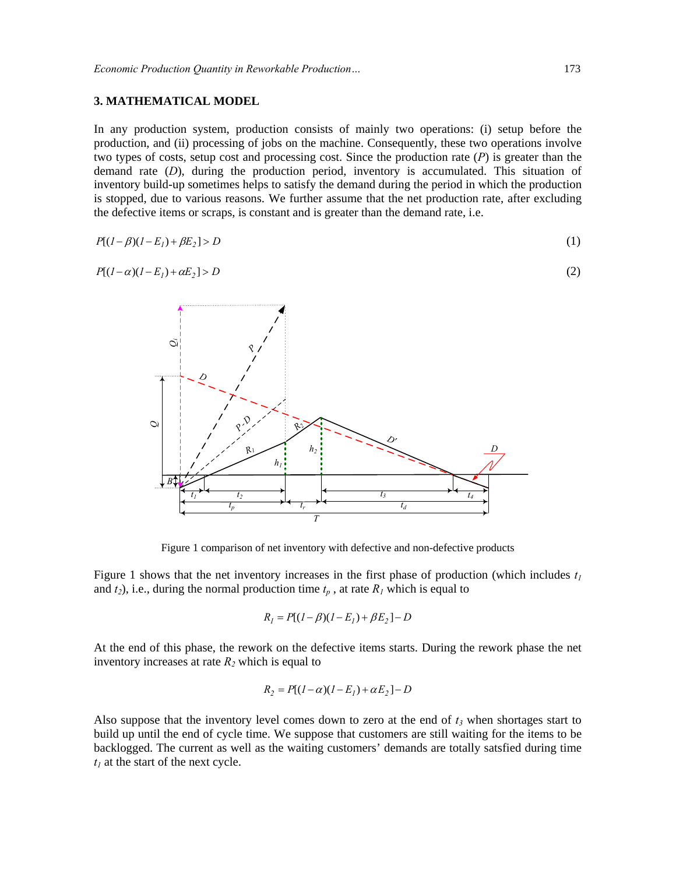#### **3. MATHEMATICAL MODEL**

In any production system, production consists of mainly two operations: (i) setup before the production, and (ii) processing of jobs on the machine. Consequently, these two operations involve two types of costs, setup cost and processing cost. Since the production rate (*P*) is greater than the demand rate (*D*), during the production period, inventory is accumulated. This situation of inventory build-up sometimes helps to satisfy the demand during the period in which the production is stopped, due to various reasons. We further assume that the net production rate, after excluding the defective items or scraps, is constant and is greater than the demand rate, i.e.

$$
P[(I - \beta)(I - E_1) + \beta E_2] > D \tag{1}
$$

$$
P[(I-\alpha)(I-E_1)+\alpha E_2] > D \tag{2}
$$



Figure 1 comparison of net inventory with defective and non-defective products

Figure 1 shows that the net inventory increases in the first phase of production (which includes  $t_1$ ) and  $t_2$ ), i.e., during the normal production time  $t_p$ , at rate  $R_l$  which is equal to

$$
R_1 = P[(1 - \beta)(1 - E_1) + \beta E_2] - D
$$

At the end of this phase, the rework on the defective items starts. During the rework phase the net inventory increases at rate  $R_2$  which is equal to

$$
R_2 = P[(1 - \alpha)(1 - E_1) + \alpha E_2] - D
$$

Also suppose that the inventory level comes down to zero at the end of  $t_3$  when shortages start to build up until the end of cycle time. We suppose that customers are still waiting for the items to be backlogged. The current as well as the waiting customers' demands are totally satsfied during time  $t_1$  at the start of the next cycle.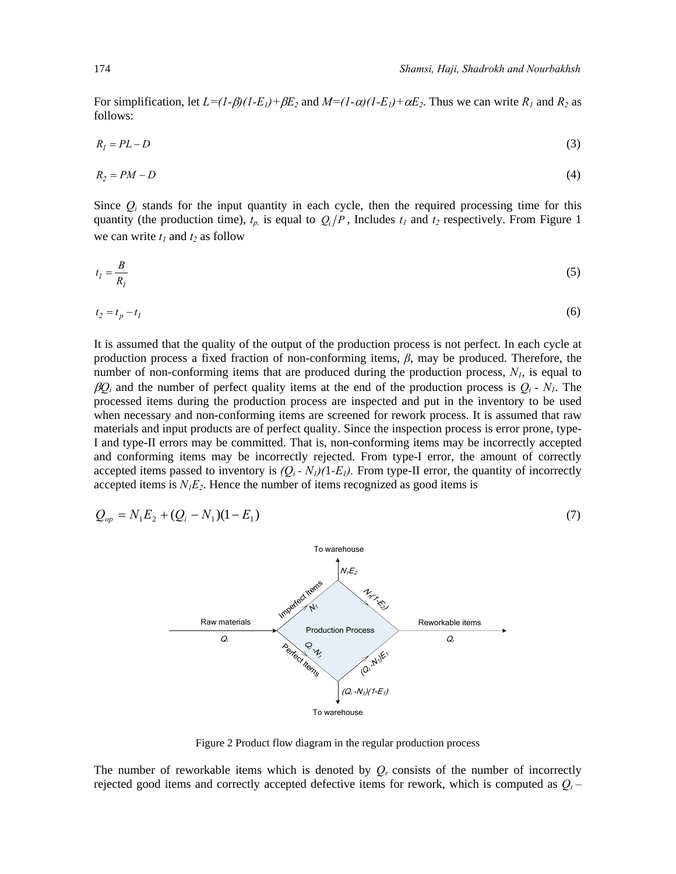For simplification, let  $L=(I-\beta)(I-E_1)+\beta E_2$  and  $M=(I-\alpha)(I-E_1)+\alpha E_2$ . Thus we can write  $R_1$  and  $R_2$  as follows:

$$
R_l = PL - D \tag{3}
$$

$$
R_2 = PM - D \tag{4}
$$

Since  $Q_i$  stands for the input quantity in each cycle, then the required processing time for this quantity (the production time),  $t_p$ , is equal to  $Q_i/P$ , Includes  $t_1$  and  $t_2$  respectively. From Figure 1 we can write  $t_1$  and  $t_2$  as follow

$$
t_1 = \frac{B}{R_1} \tag{5}
$$

$$
t_2 = t_p - t_l \tag{6}
$$

It is assumed that the quality of the output of the production process is not perfect. In each cycle at production process a fixed fraction of non-conforming items, *β*, may be produced. Therefore, the number of non-conforming items that are produced during the production process,  $N_l$ , is equal to  $\beta Q_i$  and the number of perfect quality items at the end of the production process is  $Q_i$  -  $N_l$ . The processed items during the production process are inspected and put in the inventory to be used when necessary and non-conforming items are screened for rework process. It is assumed that raw materials and input products are of perfect quality. Since the inspection process is error prone, type-I and type-II errors may be committed. That is, non-conforming items may be incorrectly accepted and conforming items may be incorrectly rejected. From type-I error, the amount of correctly accepted items passed to inventory is  $(Q_i - N_l)(1 - E_l)$ . From type-II error, the quantity of incorrectly accepted items is  $N_1E_2$ . Hence the number of items recognized as good items is

$$
Q_{op} = N_1 E_2 + (Q_i - N_1)(1 - E_1)
$$
\n(7)



Figure 2 Product flow diagram in the regular production process

The number of reworkable items which is denoted by  $Q_r$  consists of the number of incorrectly rejected good items and correctly accepted defective items for rework, which is computed as *Qi –*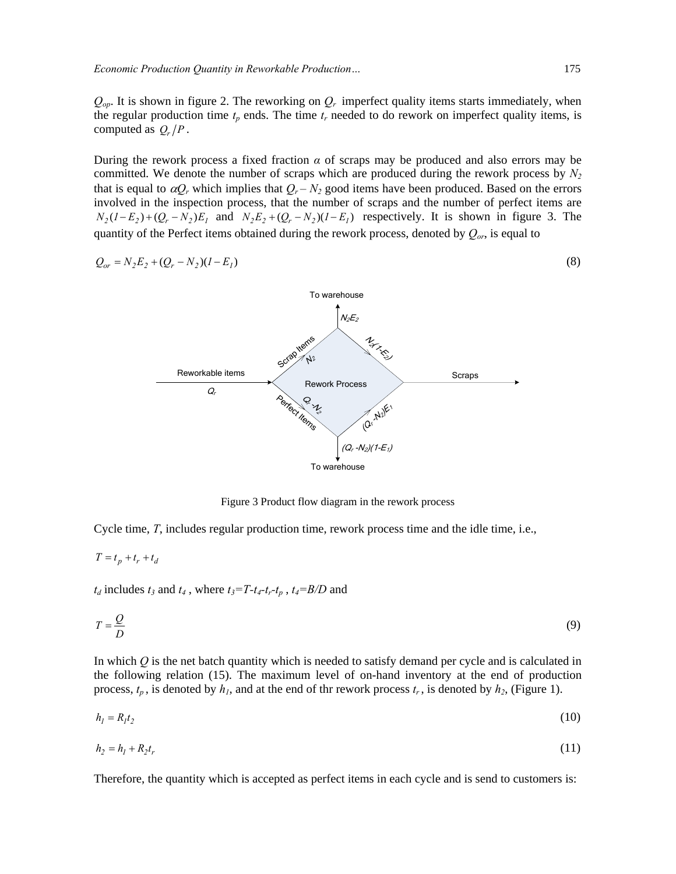$Q_{op}$ . It is shown in figure 2. The reworking on  $Q_r$  imperfect quality items starts immediately, when the regular production time  $t_p$  ends. The time  $t_r$  needed to do rework on imperfect quality items, is computed as  $Q_r/P$ .

During the rework process a fixed fraction  $\alpha$  of scraps may be produced and also errors may be committed. We denote the number of scraps which are produced during the rework process by  $N_2$ that is equal to  $\alpha Q_r$  which implies that  $Q_r - N_2$  good items have been produced. Based on the errors involved in the inspection process, that the number of scraps and the number of perfect items are  $N_2(I-E_2)+(Q_r-N_2)E_1$  and  $N_2E_2+(Q_r-N_2)(I-E_1)$  respectively. It is shown in figure 3. The quantity of the Perfect items obtained during the rework process, denoted by  $Q_{or}$ , is equal to

$$
Q_{or} = N_2 E_2 + (Q_r - N_2)(I - E_I)
$$
\n(8)



Figure 3 Product flow diagram in the rework process

Cycle time, *T*, includes regular production time, rework process time and the idle time, i.e.,

$$
T = t_p + t_r + t_d
$$

 $t_d$  includes  $t_3$  and  $t_4$ , where  $t_3 = T-t_4-t_r-t_p$ ,  $t_4 = B/D$  and

$$
T = \frac{Q}{D} \tag{9}
$$

In which *Q* is the net batch quantity which is needed to satisfy demand per cycle and is calculated in the following relation (15). The maximum level of on-hand inventory at the end of production process,  $t_p$ , is denoted by  $h_l$ , and at the end of thr rework process  $t_r$ , is denoted by  $h_2$ , (Figure 1).

$$
h_l = R_l t_2 \tag{10}
$$

$$
h_2 = h_1 + R_2 t_r \tag{11}
$$

Therefore, the quantity which is accepted as perfect items in each cycle and is send to customers is: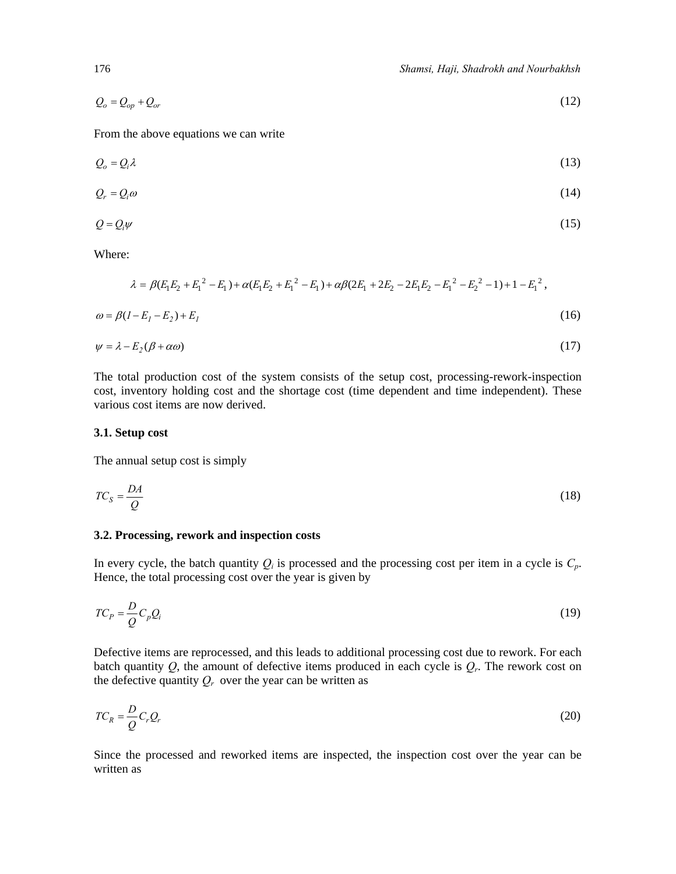$$
Q_o = Q_{op} + Q_{or} \tag{12}
$$

From the above equations we can write

$$
Q_o = Q_i \lambda \tag{13}
$$

$$
Q_r = Q_i \omega \tag{14}
$$

$$
Q = Q_i \psi \tag{15}
$$

Where:

$$
\lambda = \beta (E_1 E_2 + E_1^2 - E_1) + \alpha (E_1 E_2 + E_1^2 - E_1) + \alpha \beta (2E_1 + 2E_2 - 2E_1 E_2 - E_1^2 - E_2^2 - 1) + 1 - E_1^2,
$$

$$
\omega = \beta (I - E_1 - E_2) + E_1 \tag{16}
$$

$$
\psi = \lambda - E_2(\beta + \alpha \omega) \tag{17}
$$

The total production cost of the system consists of the setup cost, processing-rework-inspection cost, inventory holding cost and the shortage cost (time dependent and time independent). These various cost items are now derived.

#### **3.1. Setup cost**

The annual setup cost is simply

$$
TC_S = \frac{DA}{Q} \tag{18}
$$

#### **3.2. Processing, rework and inspection costs**

In every cycle, the batch quantity  $Q_i$  is processed and the processing cost per item in a cycle is  $C_p$ . Hence, the total processing cost over the year is given by

$$
TC_p = \frac{D}{Q}C_pQ_i
$$
\n(19)

Defective items are reprocessed, and this leads to additional processing cost due to rework. For each batch quantity  $Q$ , the amount of defective items produced in each cycle is  $Q_r$ . The rework cost on the defective quantity  $Q_r$  over the year can be written as

$$
TC_R = \frac{D}{Q}C_rQ_r \tag{20}
$$

Since the processed and reworked items are inspected, the inspection cost over the year can be written as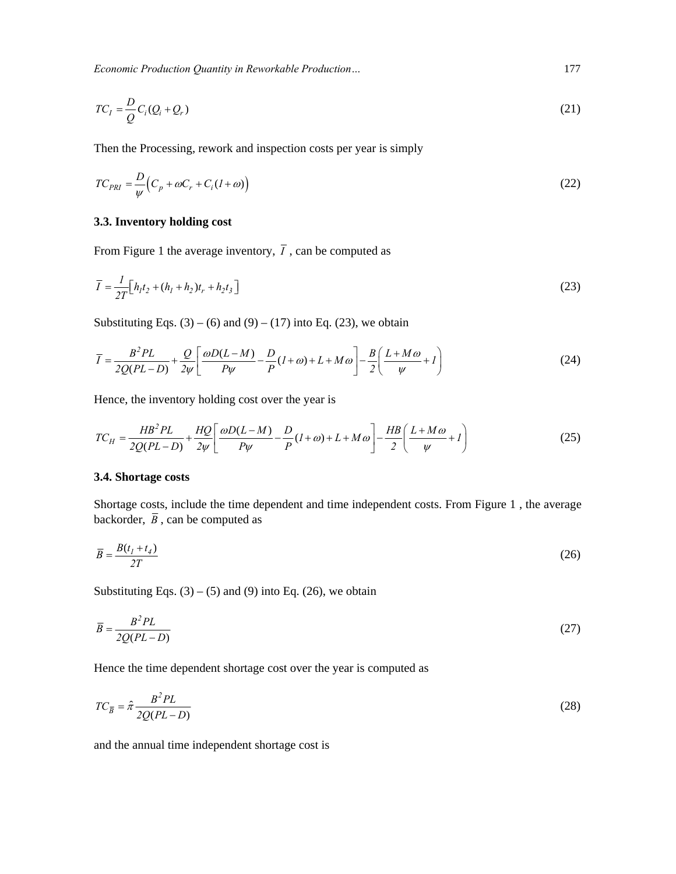*Economic Production Quantity in Reworkable Production…* 177

$$
TC_I = \frac{D}{Q}C_i(Q_i + Q_r)
$$
\n(21)

Then the Processing, rework and inspection costs per year is simply

$$
TC_{PRI} = \frac{D}{\psi} \Big( C_p + \omega C_r + C_i (1 + \omega) \Big)
$$
 (22)

## **3.3. Inventory holding cost**

From Figure 1 the average inventory,  $\overline{I}$ , can be computed as

$$
\overline{I} = \frac{1}{2T} \Big[ h_1 t_2 + (h_1 + h_2) t_1 + h_2 t_3 \Big]
$$
\n(23)

Substituting Eqs.  $(3) - (6)$  and  $(9) - (17)$  into Eq.  $(23)$ , we obtain

$$
\overline{I} = \frac{B^2 PL}{2Q(PL - D)} + \frac{Q}{2\psi} \left[ \frac{\omega D(L - M)}{P\psi} - \frac{D}{P}(I + \omega) + L + M\omega \right] - \frac{B}{2} \left( \frac{L + M\omega}{\psi} + I \right)
$$
(24)

Hence, the inventory holding cost over the year is

$$
TC_H = \frac{HB^2PL}{2Q(PL-D)} + \frac{HQ}{2\psi} \left[ \frac{\omega D(L-M)}{P\psi} - \frac{D}{P}(I+\omega) + L + M\omega \right] - \frac{HB}{2} \left( \frac{L+M\omega}{\psi} + I \right)
$$
(25)

#### **3.4. Shortage costs**

Shortage costs, include the time dependent and time independent costs. From Figure 1 , the average backorder,  $\overline{B}$ , can be computed as

$$
\overline{B} = \frac{B(t_1 + t_4)}{2T} \tag{26}
$$

Substituting Eqs.  $(3) - (5)$  and  $(9)$  into Eq. (26), we obtain

$$
\overline{B} = \frac{B^2 PL}{2Q(PL - D)}
$$
\n(27)

Hence the time dependent shortage cost over the year is computed as

$$
TC_{\overline{B}} = \hat{\pi} \frac{B^2 PL}{2Q(PL - D)}
$$
\n<sup>(28)</sup>

and the annual time independent shortage cost is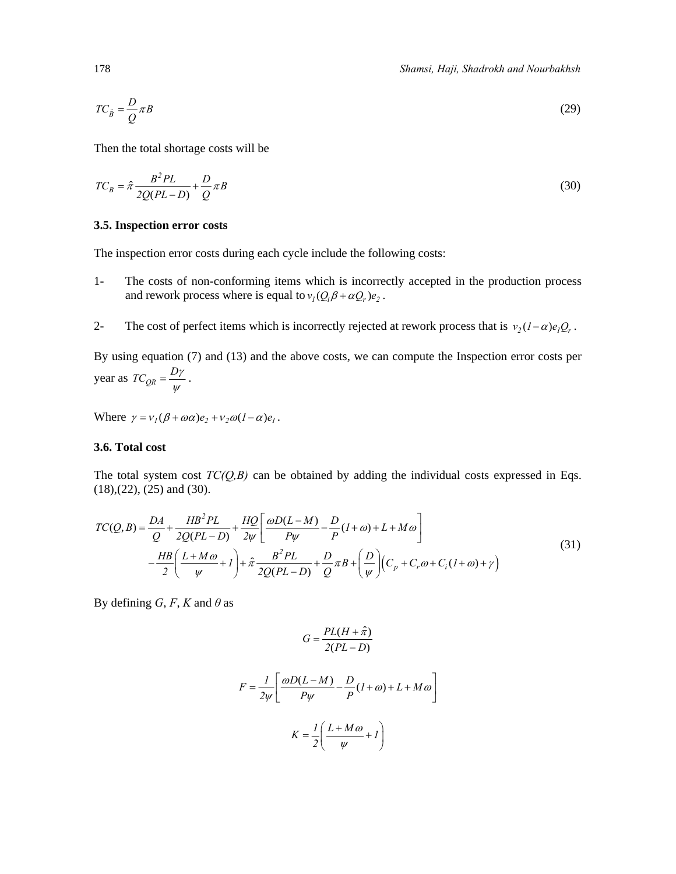$$
TC_{\ddot{B}} = \frac{D}{Q}\pi B\tag{29}
$$

Then the total shortage costs will be

$$
TC_B = \hat{\pi} \frac{B^2 PL}{2Q(PL - D)} + \frac{D}{Q} \pi B \tag{30}
$$

#### **3.5. Inspection error costs**

The inspection error costs during each cycle include the following costs:

- 1- The costs of non-conforming items which is incorrectly accepted in the production process and rework process where is equal to  $v_1 (Q_i \beta + \alpha Q_r) e_2$ .
- 2- The cost of perfect items which is incorrectly rejected at rework process that is  $v_2 (1 \alpha) e_l Q_r$ .

By using equation (7) and (13) and the above costs, we can compute the Inspection error costs per year as  $TC_{QR} = \frac{D\gamma}{\psi}$ .

Where  $\gamma = v_1 (\beta + \omega \alpha) e_2 + v_2 \omega (1 - \alpha) e_1$ .

#### **3.6. Total cost**

The total system cost  $TC(Q, B)$  can be obtained by adding the individual costs expressed in Eqs. (18),(22), (25) and (30).

$$
TC(Q,B) = \frac{DA}{Q} + \frac{HB^2PL}{2Q(PL-D)} + \frac{HQ}{2\psi} \left[ \frac{\omega D(L-M)}{P\psi} - \frac{D}{P}(I+\omega) + L+M\omega \right]
$$
  

$$
-\frac{HB}{2} \left( \frac{L+M\omega}{\psi} + I \right) + \hat{\pi} \frac{B^2PL}{2Q(PL-D)} + \frac{D}{Q}\pi B + \left( \frac{D}{\psi} \right) \left( C_p + C_r\omega + C_i(I+\omega) + \gamma \right)
$$
(31)

By defining  $G, F, K$  and  $\theta$  as

$$
G = \frac{PL(H + \hat{\pi})}{2(PL - D)}
$$

$$
F = \frac{1}{2\psi} \left[ \frac{\omega D(L - M)}{P\psi} - \frac{D}{P}(I + \omega) + L + M\omega \right]
$$

$$
K = \frac{1}{2} \left( \frac{L + M\omega}{\psi} + l \right)
$$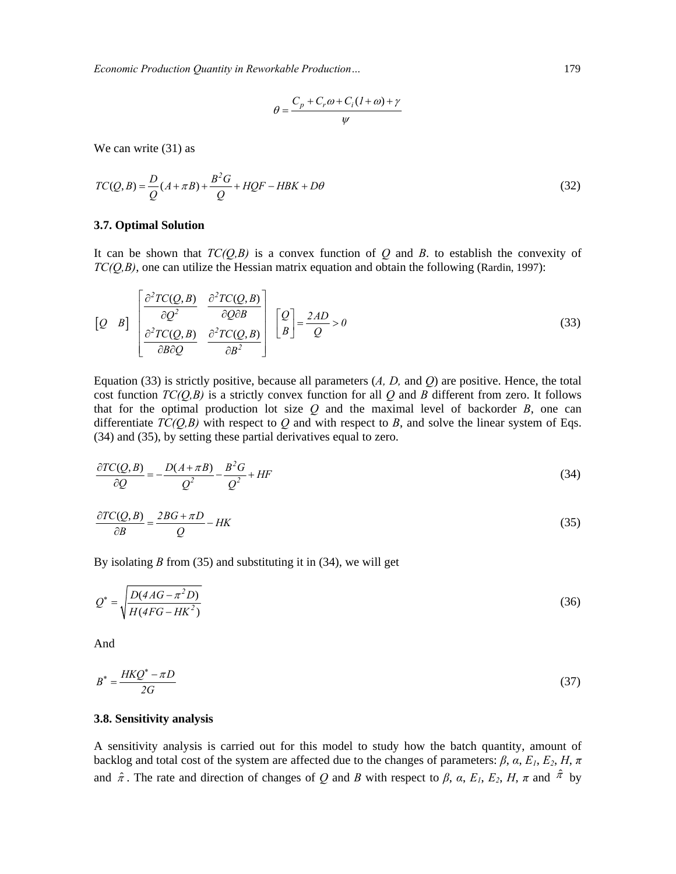*Economic Production Quantity in Reworkable Production…* 179

$$
\theta = \frac{C_p + C_r \omega + C_i (1 + \omega) + \gamma}{\psi}
$$

We can write (31) as

$$
TC(Q, B) = \frac{D}{Q}(A + \pi B) + \frac{B^2 G}{Q} + HQF - HBK + D\theta
$$
\n(32)

#### **3.7. Optimal Solution**

It can be shown that *TC(Q,B)* is a convex function of *Q* and *B*. to establish the convexity of *TC(Q,B)*, one can utilize the Hessian matrix equation and obtain the following (Rardin, 1997):

$$
\begin{bmatrix} Q & B \end{bmatrix} \begin{bmatrix} \frac{\partial^2 TC(Q, B)}{\partial Q^2} & \frac{\partial^2 TC(Q, B)}{\partial Q \partial B} \\ \frac{\partial^2 TC(Q, B)}{\partial B \partial Q} & \frac{\partial^2 TC(Q, B)}{\partial B^2} \end{bmatrix} \begin{bmatrix} Q \\ B \end{bmatrix} = \frac{2AD}{Q} > 0
$$
\n(33)

Equation (33) is strictly positive, because all parameters (*A, D,* and *Q*) are positive. Hence, the total cost function *TC(Q,B)* is a strictly convex function for all *Q* and *B* different from zero. It follows that for the optimal production lot size  $Q$  and the maximal level of backorder  $B$ , one can differentiate  $TC(Q, B)$  with respect to Q and with respect to B, and solve the linear system of Eqs. (34) and (35), by setting these partial derivatives equal to zero.

$$
\frac{\partial TC(Q,B)}{\partial Q} = -\frac{D(A+\pi B)}{Q^2} - \frac{B^2 G}{Q^2} + HF
$$
\n(34)

$$
\frac{\partial TC(Q, B)}{\partial B} = \frac{2BG + \pi D}{Q} - HK\tag{35}
$$

By isolating *B* from (35) and substituting it in (34), we will get

$$
Q^* = \sqrt{\frac{D(4AG - \pi^2 D)}{H(4FG - HK^2)}}
$$
(36)

And

$$
B^* = \frac{HKQ^* - \pi D}{2G} \tag{37}
$$

#### **3.8. Sensitivity analysis**

A sensitivity analysis is carried out for this model to study how the batch quantity, amount of backlog and total cost of the system are affected due to the changes of parameters:  $\beta$ ,  $\alpha$ ,  $E_1$ ,  $E_2$ ,  $H$ ,  $\pi$ and  $\hat{\pi}$ . The rate and direction of changes of *Q* and *B* with respect to  $\beta$ ,  $\alpha$ ,  $E_1$ ,  $E_2$ ,  $H$ ,  $\pi$  and  $\hat{\pi}$  by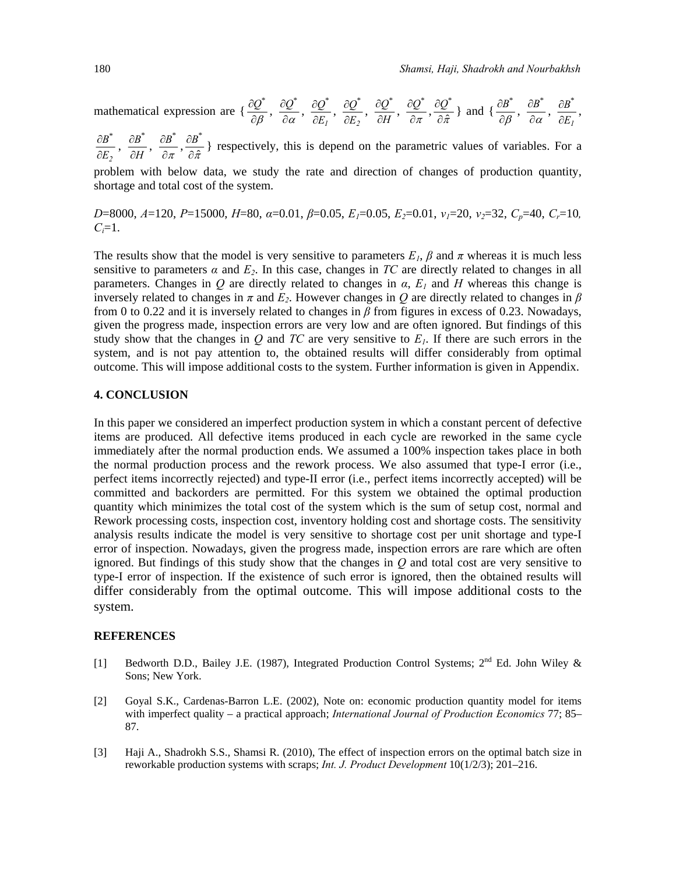mathematical expression are { $\frac{\partial Q^*}{\partial \beta}$  $\frac{\partial \mathcal{Q}^*}{\partial \beta}, \; \frac{\partial \mathcal{Q}^*}{\partial \alpha}$  $\frac{\partial Q^*}{\partial \alpha}$ ,  $\frac{\partial Q^*}{\partial E_I}$ *Q E*  $\frac{\partial Q^*}{\partial E_I}, \frac{\partial Q^*}{\partial E_2}$ *Q E*  $\frac{\partial \mathcal{Q}^*}{\partial E_2}, \; \frac{\partial \mathcal{Q}^*}{\partial H}$  $\frac{\partial Q^*}{\partial H}, \frac{\partial Q^*}{\partial \pi}$  $\frac{\partial \mathcal{Q}^*}{\partial \pi}, \frac{\partial \mathcal{Q}^*}{\partial \hat{\pi}}$ *Q* π  $\frac{\partial Q^*}{\partial \hat{\pi}}$  } and { $\frac{\partial B^*}{\partial \beta}$  $\frac{\partial \overline{B}}{\partial \beta}, \; \frac{\partial \overline{B}}{\partial \alpha}^*$  $\frac{\partial B^*}{\partial \alpha}$ ,  $\frac{\partial B^*}{\partial E_I}$ *B E*  $\frac{\partial \overline{B}^*}{\partial E_I}$  ,

\* *2 B E*  $\frac{\partial B^*}{\partial E_2}$ ,  $\frac{\partial B^*}{\partial H}$  $\frac{\partial B^*}{\partial H}$ ,  $\frac{\partial B^*}{\partial \pi}$  $\frac{\partial \boldsymbol{B}^*}{\partial \pi}, \frac{\partial \boldsymbol{B}^*}{\partial \hat{\pi}}$ *B* π  $\frac{\partial B^*}{\partial \hat{\pi}}$  } respectively, this is depend on the parametric values of variables. For a problem with below data, we study the rate and direction of changes of production quantity, shortage and total cost of the system.

*D*=8000, *A*=120, *P*=15000, *H*=80, *α*=0.01, *β*=0.05, *E<sub>1</sub>*=0.05, *E<sub>2</sub>*=0.01, *v<sub>1</sub>*=20, *v<sub>2</sub>*=32, *C<sub>p</sub>*=40, *C<sub>r</sub>*=10*,*  $C_i = 1$ .

The results show that the model is very sensitive to parameters  $E_1$ ,  $\beta$  and  $\pi$  whereas it is much less sensitive to parameters  $\alpha$  and  $E_2$ . In this case, changes in *TC* are directly related to changes in all parameters. Changes in  $Q$  are directly related to changes in  $\alpha$ ,  $E_I$  and  $H$  whereas this change is inversely related to changes in  $\pi$  and  $E_2$ . However changes in  $Q$  are directly related to changes in  $\beta$ from 0 to 0.22 and it is inversely related to changes in *β* from figures in excess of 0.23. Nowadays, given the progress made, inspection errors are very low and are often ignored. But findings of this study show that the changes in  $Q$  and  $TC$  are very sensitive to  $E<sub>I</sub>$ . If there are such errors in the system, and is not pay attention to, the obtained results will differ considerably from optimal outcome. This will impose additional costs to the system. Further information is given in Appendix.

#### **4. CONCLUSION**

In this paper we considered an imperfect production system in which a constant percent of defective items are produced. All defective items produced in each cycle are reworked in the same cycle immediately after the normal production ends. We assumed a 100% inspection takes place in both the normal production process and the rework process. We also assumed that type-I error (i.e., perfect items incorrectly rejected) and type-II error (i.e., perfect items incorrectly accepted) will be committed and backorders are permitted. For this system we obtained the optimal production quantity which minimizes the total cost of the system which is the sum of setup cost, normal and Rework processing costs, inspection cost, inventory holding cost and shortage costs. The sensitivity analysis results indicate the model is very sensitive to shortage cost per unit shortage and type-I error of inspection. Nowadays, given the progress made, inspection errors are rare which are often ignored. But findings of this study show that the changes in *Q* and total cost are very sensitive to type-I error of inspection. If the existence of such error is ignored, then the obtained results will differ considerably from the optimal outcome. This will impose additional costs to the system.

#### **REFERENCES**

- [1] Bedworth D.D., Bailey J.E. (1987), Integrated Production Control Systems; 2<sup>nd</sup> Ed. John Wiley & Sons; New York.
- [2] Goyal S.K., Cardenas-Barron L.E. (2002), Note on: economic production quantity model for items with imperfect quality – a practical approach; *International Journal of Production Economics* 77; 85– 87.
- [3] Haji A., Shadrokh S.S., Shamsi R. (2010), The effect of inspection errors on the optimal batch size in reworkable production systems with scraps; *Int. J. Product Development* 10(1/2/3); 201–216.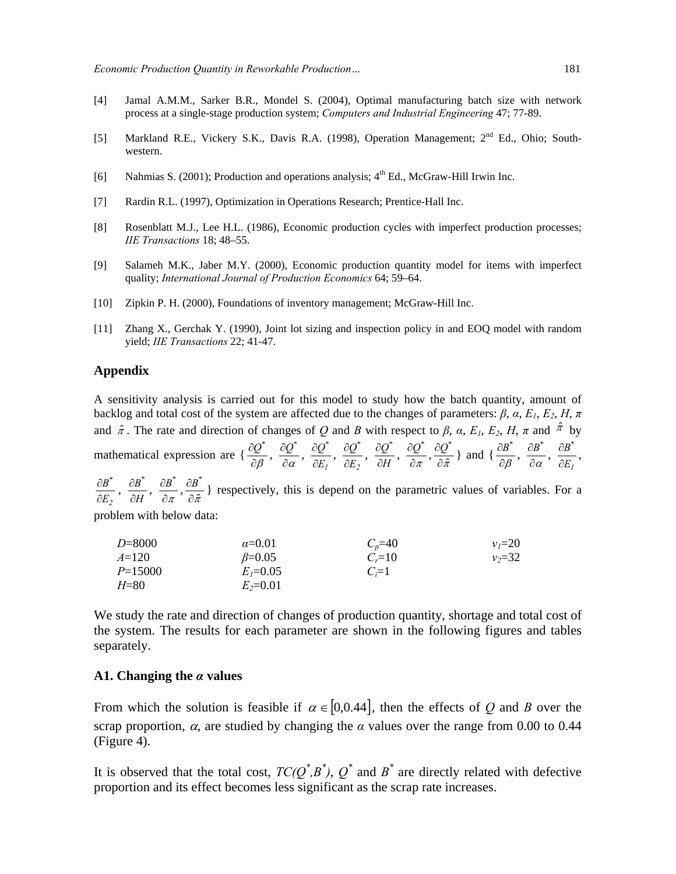- [4] Jamal A.M.M., Sarker B.R., Mondel S. (2004), Optimal manufacturing batch size with network process at a single-stage production system; *Computers and Industrial Engineering* 47; 77-89.
- [5] Markland R.E., Vickery S.K., Davis R.A. (1998), Operation Management; 2<sup>nd</sup> Ed., Ohio; Southwestern.
- [6] Nahmias S. (2001); Production and operations analysis; 4<sup>th</sup> Ed., McGraw-Hill Irwin Inc.
- [7] Rardin R.L. (1997), Optimization in Operations Research; Prentice-Hall Inc.
- [8] Rosenblatt M.J., Lee H.L. (1986), Economic production cycles with imperfect production processes; *IIE Transactions* 18; 48–55.
- [9] Salameh M.K., Jaber M.Y. (2000), Economic production quantity model for items with imperfect quality; *International Journal of Production Economics* 64; 59–64.
- [10] Zipkin P. H. (2000), Foundations of inventory management; McGraw-Hill Inc.
- [11] Zhang X., Gerchak Y. (1990), Joint lot sizing and inspection policy in and EOQ model with random yield; *IIE Transactions* 22; 41-47.

## **Appendix**

A sensitivity analysis is carried out for this model to study how the batch quantity, amount of backlog and total cost of the system are affected due to the changes of parameters:  $\beta$ ,  $\alpha$ ,  $E_1$ ,  $E_2$ ,  $H$ ,  $\pi$ and  $\hat{\pi}$ . The rate and direction of changes of *Q* and *B* with respect to  $\beta$ ,  $\alpha$ ,  $E_1$ ,  $E_2$ ,  $H$ ,  $\pi$  and  $\hat{\pi}$  by mathematical expression are { $\frac{\partial Q^*}{\partial \beta}$  $\frac{\partial \mathcal{Q}^*}{\partial \beta}, \; \frac{\partial \mathcal{Q}^*}{\partial \alpha}$  $\frac{\partial Q^*}{\partial \alpha}, \frac{\partial Q^*}{\partial E_I}$ *Q E*  $\frac{\partial \mathcal{Q}^*}{\partial E_I}, \; \frac{\partial \mathcal{Q}^*}{\partial E_2}$ *Q E*  $\frac{\partial \mathcal{Q}^*}{\partial E_2}, \; \frac{\partial \mathcal{Q}^*}{\partial H}$  $\frac{\partial Q^*}{\partial H},\,\frac{\partial Q^*}{\partial \pi}$  $\frac{\partial \mathcal{Q}^*}{\partial \pi}, \frac{\partial \mathcal{Q}^*}{\partial \hat{\pi}}$ *Q* π  $\frac{\partial Q^*}{\partial \hat{\pi}}$  } and { $\frac{\partial B^*}{\partial \beta}$  $\frac{\partial \overline{B}}{\partial \beta}, \; \frac{\partial \overline{B}}{\partial \alpha}^*$  $\frac{\partial \boldsymbol{B}^*}{\partial \boldsymbol{\alpha}}, \; \frac{\partial \boldsymbol{B}^*}{\partial E_I}$ *B E*  $\frac{\partial \overline{B}^*}{\partial E_{I}}$  , \* *B B*

*2 E*  $\frac{\partial \overline{B}^*}{\partial E_2}$  ,  $\frac{\partial \overline{B}^*}{\partial H}$  $\frac{\partial B^*}{\partial H}$ ,  $\frac{\partial B^*}{\partial \pi}$  $\frac{\partial \boldsymbol{B}^*}{\partial \pi}, \frac{\partial \boldsymbol{B}^*}{\partial \hat{\pi}}$ π  $\frac{\partial B^*}{\partial \hat{\pi}}$  } respectively, this is depend on the parametric values of variables. For a

problem with below data:

| D=8000      | $\alpha=0.01$ | $C_p = 40$ | $v_i = 20$ |
|-------------|---------------|------------|------------|
| $A = 120$   | $\beta=0.05$  | $C = 10$   | $v_2 = 32$ |
| $P = 15000$ | $E = 0.05$    | $C=1$      |            |
| H=80        | $E = 0.01$    |            |            |

We study the rate and direction of changes of production quantity, shortage and total cost of the system. The results for each parameter are shown in the following figures and tables separately.

#### **A1. Changing the** *α* **values**

From which the solution is feasible if  $\alpha \in [0,0.44]$ , then the effects of *Q* and *B* over the scrap proportion,  $\alpha$ , are studied by changing the  $\alpha$  values over the range from 0.00 to 0.44 (Figure 4).

It is observed that the total cost,  $TC(Q^*, B^*)$ ,  $Q^*$  and  $B^*$  are directly related with defective proportion and its effect becomes less significant as the scrap rate increases.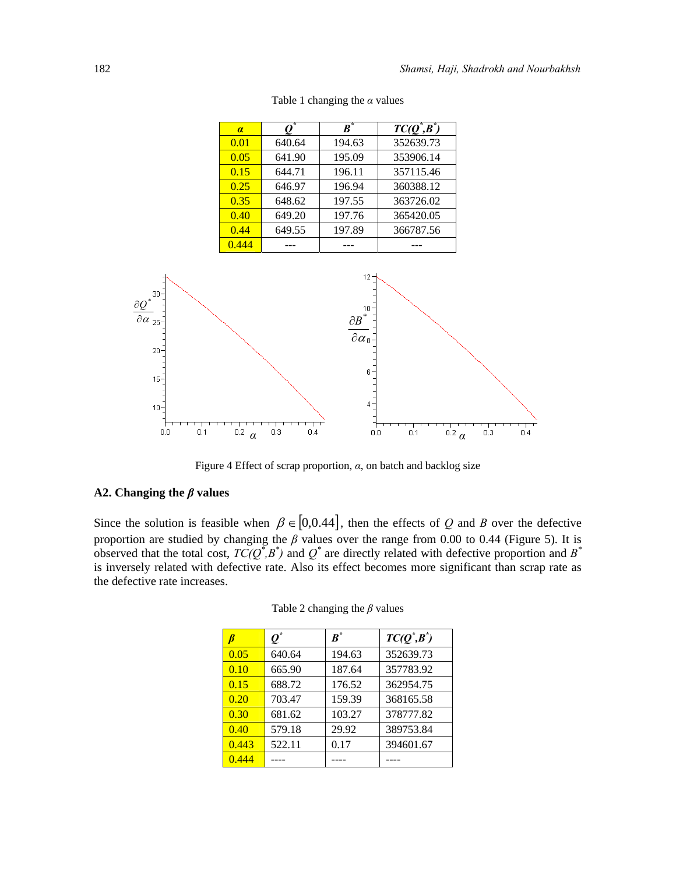| $\alpha$ |        | $\overline{B}^*$ | $TC(Q^*,\overline{B^*})$ |
|----------|--------|------------------|--------------------------|
| 0.01     | 640.64 | 194.63           | 352639.73                |
| 0.05     | 641.90 | 195.09           | 353906.14                |
| 0.15     | 644.71 | 196.11           | 357115.46                |
| 0.25     | 646.97 | 196.94           | 360388.12                |
| 0.35     | 648.62 | 197.55           | 363726.02                |
| 0.40     | 649.20 | 197.76           | 365420.05                |
| 0.44     | 649.55 | 197.89           | 366787.56                |
| 0.444    |        |                  |                          |

Table 1 changing the *α* values



Figure 4 Effect of scrap proportion, *α*, on batch and backlog size

## **A2. Changing the** *β* **values**

Since the solution is feasible when  $\beta \in [0,0.44]$ , then the effects of *Q* and *B* over the defective proportion are studied by changing the *β* values over the range from 0.00 to 0.44 (Figure 5). It is observed that the total cost,  $TC(Q^*, B^*)$  and  $Q^*$  are directly related with defective proportion and  $B^*$ is inversely related with defective rate. Also its effect becomes more significant than scrap rate as the defective rate increases.

|       | $\boldsymbol{Q}^*$ | $B^*$  | $TC(Q^*,B^*)$ |
|-------|--------------------|--------|---------------|
| 0.05  | 640.64             | 194.63 | 352639.73     |
| 0.10  | 665.90             | 187.64 | 357783.92     |
| 0.15  | 688.72             | 176.52 | 362954.75     |
| 0.20  | 703.47             | 159.39 | 368165.58     |
| 0.30  | 681.62             | 103.27 | 378777.82     |
| 0.40  | 579.18             | 29.92  | 389753.84     |
| 0.443 | 522.11             | 0.17   | 394601.67     |
| 0.444 |                    |        |               |

| Table 2 changing the $\beta$ values |  |
|-------------------------------------|--|
|-------------------------------------|--|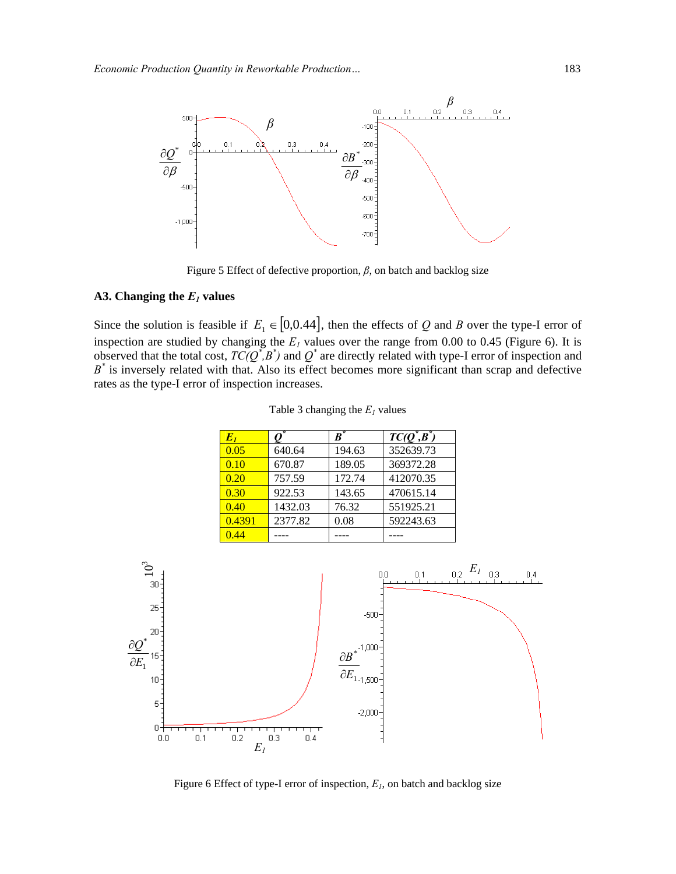

Figure 5 Effect of defective proportion, *β*, on batch and backlog size

#### A3. Changing the  $E_1$  values

Since the solution is feasible if  $E_1 \in [0,0.44]$ , then the effects of *Q* and *B* over the type-I error of inspection are studied by changing the  $E_l$  values over the range from 0.00 to 0.45 (Figure 6). It is observed that the total cost,  $TC(Q^*, B^*)$  and  $Q^*$  are directly related with type-I error of inspection and  $B^*$  is inversely related with that. Also its effect becomes more significant than scrap and defective rates as the type-I error of inspection increases.

| $\bm{E}$ , |         | $\overline{B}^*$ | $TC(Q^*,B^*)$ |
|------------|---------|------------------|---------------|
| 0.05       | 640.64  | 194.63           | 352639.73     |
| 0.10       | 670.87  | 189.05           | 369372.28     |
| 0.20       | 757.59  | 172.74           | 412070.35     |
| 0.30       | 922.53  | 143.65           | 470615.14     |
| 0.40       | 1432.03 | 76.32            | 551925.21     |
| 0.4391     | 2377.82 | 0.08             | 592243.63     |
| በ 44       |         |                  |               |

Table 3 changing the  $E_I$  values



Figure 6 Effect of type-I error of inspection,  $E<sub>1</sub>$ , on batch and backlog size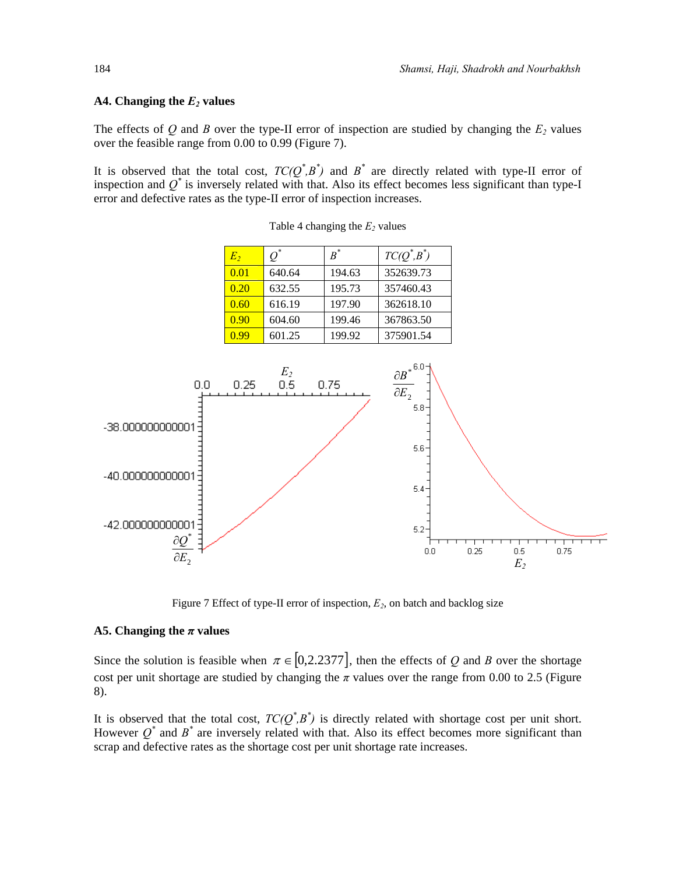#### A4. Changing the  $E_2$  values

The effects of  $Q$  and  $B$  over the type-II error of inspection are studied by changing the  $E_2$  values over the feasible range from 0.00 to 0.99 (Figure 7).

It is observed that the total cost,  $TC(Q^*, B^*)$  and  $B^*$  are directly related with type-II error of inspection and  $Q^*$  is inversely related with that. Also its effect becomes less significant than type-I error and defective rates as the type-II error of inspection increases.

|     | E <sub>2</sub>    | $Q^*$                 | $B^*$  | $TC(Q^*,B^*)$                                             |  |
|-----|-------------------|-----------------------|--------|-----------------------------------------------------------|--|
|     | 0.01              | 640.64                | 194.63 | 352639.73                                                 |  |
|     | 0.20              | 632.55                | 195.73 | 357460.43                                                 |  |
|     | 0.60              | 616.19                | 197.90 | 362618.10                                                 |  |
|     | 0.90              | 604.60                | 199.46 | 367863.50                                                 |  |
|     | 0.99              | 601.25                | 199.92 | 375901.54                                                 |  |
| 1.0 | 0.25 <sub>1</sub> | E <sub>2</sub><br>0.5 | 0.75   | $\partial B^{*}$ <sup>6.0-</sup><br>$\partial E_2$<br>58- |  |

| Table 4 changing the $E_2$ values |  |
|-----------------------------------|--|
|-----------------------------------|--|



Figure 7 Effect of type-II error of inspection,  $E_2$ , on batch and backlog size

## **A5. Changing the** *π* **values**

Since the solution is feasible when  $\pi \in [0, 2.2377]$ , then the effects of *Q* and *B* over the shortage cost per unit shortage are studied by changing the  $\pi$  values over the range from 0.00 to 2.5 (Figure 8).

It is observed that the total cost,  $TC(Q^*, B^*)$  is directly related with shortage cost per unit short. However  $Q^*$  and  $B^*$  are inversely related with that. Also its effect becomes more significant than scrap and defective rates as the shortage cost per unit shortage rate increases.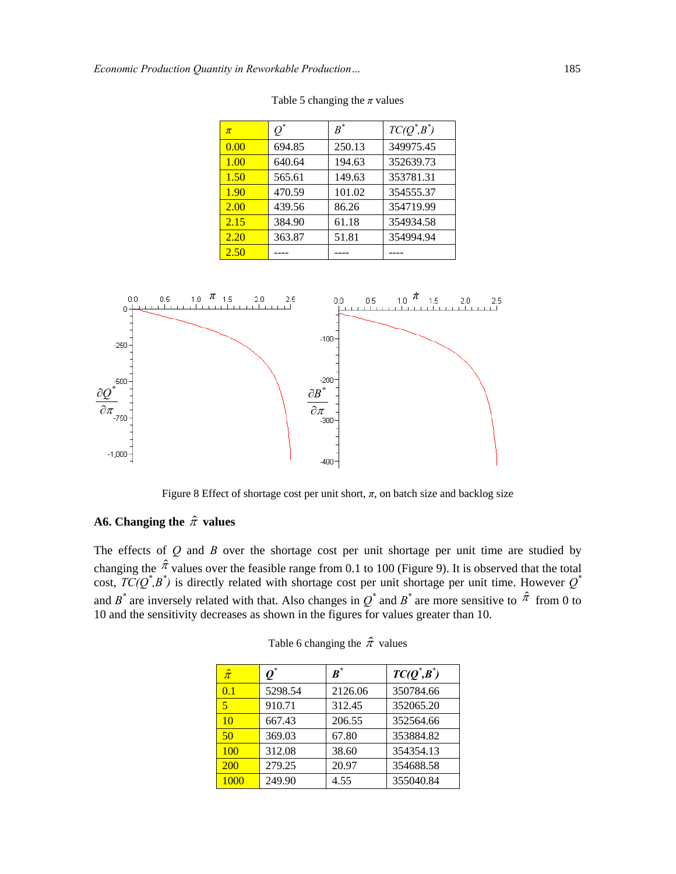| $\pi$ | $Q^*$  | B      | $TC(Q^*,B^*)$ |
|-------|--------|--------|---------------|
| 0.00  | 694.85 | 250.13 | 349975.45     |
| 1.00  | 640.64 | 194.63 | 352639.73     |
| 1.50  | 565.61 | 149.63 | 353781.31     |
| 1.90  | 470.59 | 101.02 | 354555.37     |
| 2.00  | 439.56 | 86.26  | 354719.99     |
| 2.15  | 384.90 | 61.18  | 354934.58     |
| 2.20  | 363.87 | 51.81  | 354994.94     |
| 2.50  |        |        |               |

Table 5 changing the *π* values



Figure 8 Effect of shortage cost per unit short,  $\pi$ , on batch size and backlog size

## **A6. Changing the**  $\hat{\pi}$  values

The effects of *Q* and *B* over the shortage cost per unit shortage per unit time are studied by changing the  $\hat{\pi}$  values over the feasible range from 0.1 to 100 (Figure 9). It is observed that the total cost,  $TC(Q^*,B^*)$  is directly related with shortage cost per unit shortage per unit time. However  $Q^*$ and  $B^*$  are inversely related with that. Also changes in  $Q^*$  and  $B^*$  are more sensitive to  $\hat{\pi}$  from 0 to 10 and the sensitivity decreases as shown in the figures for values greater than 10.

| $\hat{\pi}$ | $\boldsymbol{Q}^*$ | $B^*$   | $TC(Q^*,B^*)$ |
|-------------|--------------------|---------|---------------|
| 0.1         | 5298.54            | 2126.06 | 350784.66     |
| 5           | 910.71             | 312.45  | 352065.20     |
| 10          | 667.43             | 206.55  | 352564.66     |
| 50          | 369.03             | 67.80   | 353884.82     |
| 100         | 312.08             | 38.60   | 354354.13     |
| <b>200</b>  | 279.25             | 20.97   | 354688.58     |
| 1000        | 249.90             | 4.55    | 355040.84     |

Table 6 changing the  $\hat{\pi}$  values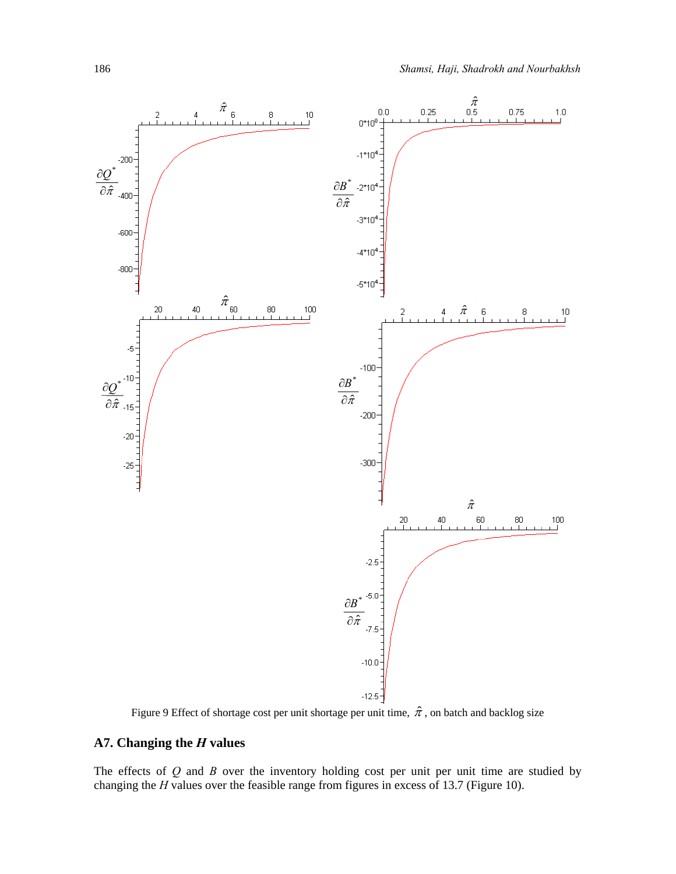

Figure 9 Effect of shortage cost per unit shortage per unit time,  $\hat{\pi}$ , on batch and backlog size

## **A7. Changing the** *H* **values**

The effects of  $Q$  and  $B$  over the inventory holding cost per unit per unit time are studied by changing the *H* values over the feasible range from figures in excess of 13.7 (Figure 10).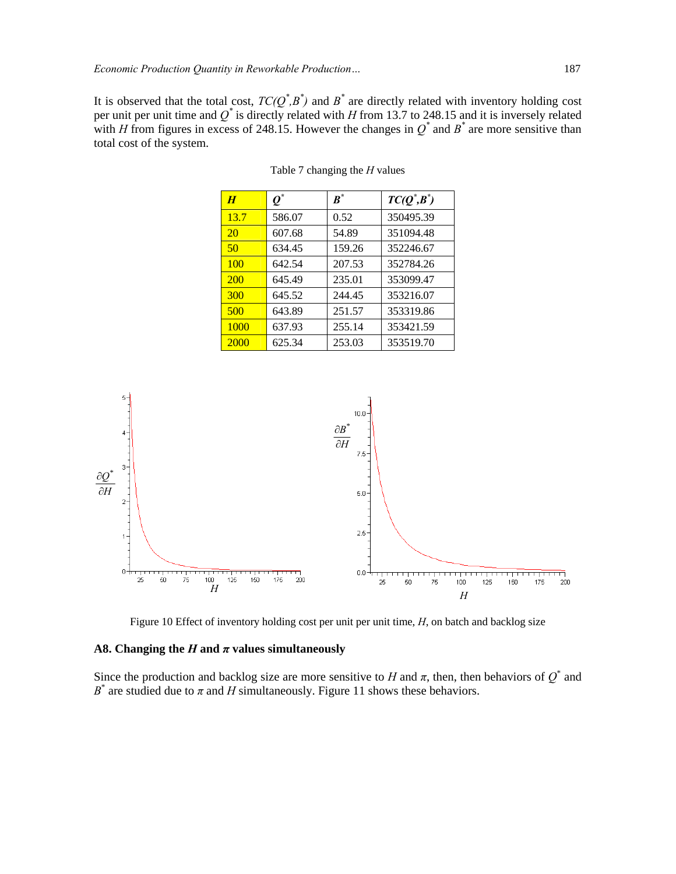It is observed that the total cost,  $TC(Q^*, B^*)$  and  $B^*$  are directly related with inventory holding cost per unit per unit time and  $Q^*$  is directly related with *H* from 13.7 to 248.15 and it is inversely related with *H* from figures in excess of 248.15. However the changes in  $Q^*$  and  $B^*$  are more sensitive than total cost of the system.

| H           | $\boldsymbol{Q}^*$ | $\boldsymbol{B}^*$ | $TC(Q^*,B^*)$ |
|-------------|--------------------|--------------------|---------------|
| 13.7        | 586.07             | 0.52               | 350495.39     |
| 20          | 607.68             | 54.89              | 351094.48     |
| 50          | 634.45             | 159.26             | 352246.67     |
| 100         | 642.54             | 207.53             | 352784.26     |
| <b>200</b>  | 645.49             | 235.01             | 353099.47     |
| 300         | 645.52             | 244.45             | 353216.07     |
| 500         | 643.89             | 251.57             | 353319.86     |
| 1000        | 637.93             | 255.14             | 353421.59     |
| <b>2000</b> | 625.34             | 253.03             | 353519.70     |

Table 7 changing the *H* values



Figure 10 Effect of inventory holding cost per unit per unit time, *H*, on batch and backlog size

## A8. Changing the  $H$  and  $\pi$  values simultaneously

Since the production and backlog size are more sensitive to *H* and  $\pi$ , then, then behaviors of  $Q^*$  and *B*<sup>\*</sup> are studied due to  $\pi$  and  $H$  simultaneously. Figure 11 shows these behaviors.